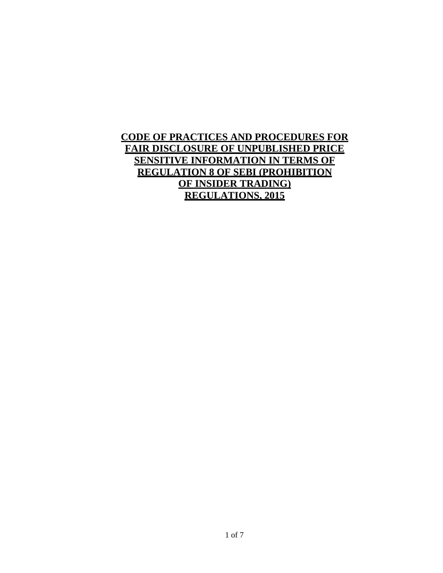# **CODE OF PRACTICES AND PROCEDURES FOR FAIR DISCLOSURE OF UNPUBLISHED PRICE SENSITIVE INFORMATION IN TERMS OF REGULATION 8 OF SEBI (PROHIBITION OF INSIDER TRADING) REGULATIONS, 2015**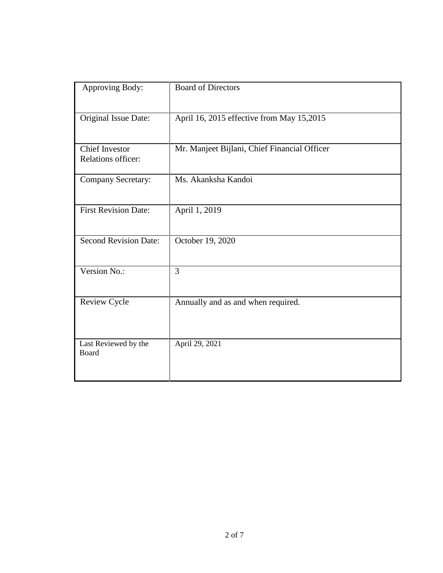| Approving Body:                                    | <b>Board of Directors</b>                    |
|----------------------------------------------------|----------------------------------------------|
| Original Issue Date:                               | April 16, 2015 effective from May 15,2015    |
| <b>Chief Investor</b><br><b>Relations officer:</b> | Mr. Manjeet Bijlani, Chief Financial Officer |
| Company Secretary:                                 | Ms. Akanksha Kandoi                          |
| <b>First Revision Date:</b>                        | April 1, 2019                                |
| <b>Second Revision Date:</b>                       | October 19, 2020                             |
| Version No.:                                       | 3                                            |
| Review Cycle                                       | Annually and as and when required.           |
| Last Reviewed by the<br>Board                      | April 29, 2021                               |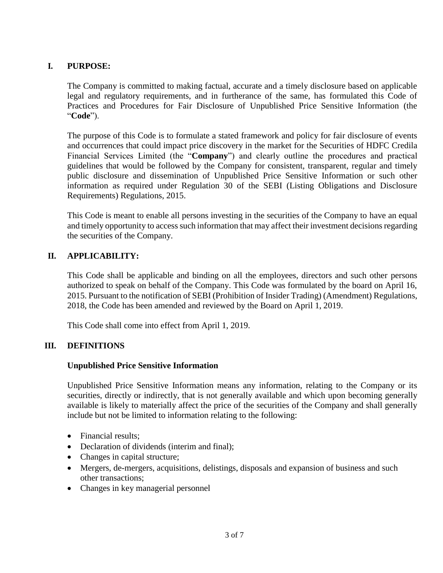# **I. PURPOSE:**

The Company is committed to making factual, accurate and a timely disclosure based on applicable legal and regulatory requirements, and in furtherance of the same, has formulated this Code of Practices and Procedures for Fair Disclosure of Unpublished Price Sensitive Information (the "**Code**").

The purpose of this Code is to formulate a stated framework and policy for fair disclosure of events and occurrences that could impact price discovery in the market for the Securities of HDFC Credila Financial Services Limited (the "**Company**") and clearly outline the procedures and practical guidelines that would be followed by the Company for consistent, transparent, regular and timely public disclosure and dissemination of Unpublished Price Sensitive Information or such other information as required under Regulation 30 of the SEBI (Listing Obligations and Disclosure Requirements) Regulations, 2015.

This Code is meant to enable all persons investing in the securities of the Company to have an equal and timely opportunity to access such information that may affect their investment decisions regarding the securities of the Company.

# **II. APPLICABILITY:**

This Code shall be applicable and binding on all the employees, directors and such other persons authorized to speak on behalf of the Company. This Code was formulated by the board on April 16, 2015. Pursuant to the notification of SEBI (Prohibition of Insider Trading) (Amendment) Regulations, 2018, the Code has been amended and reviewed by the Board on April 1, 2019.

This Code shall come into effect from April 1, 2019.

# **III. DEFINITIONS**

# **Unpublished Price Sensitive Information**

Unpublished Price Sensitive Information means any information, relating to the Company or its securities, directly or indirectly, that is not generally available and which upon becoming generally available is likely to materially affect the price of the securities of the Company and shall generally include but not be limited to information relating to the following:

- Financial results:
- Declaration of dividends (interim and final);
- Changes in capital structure;
- Mergers, de-mergers, acquisitions, delistings, disposals and expansion of business and such other transactions;
- Changes in key managerial personnel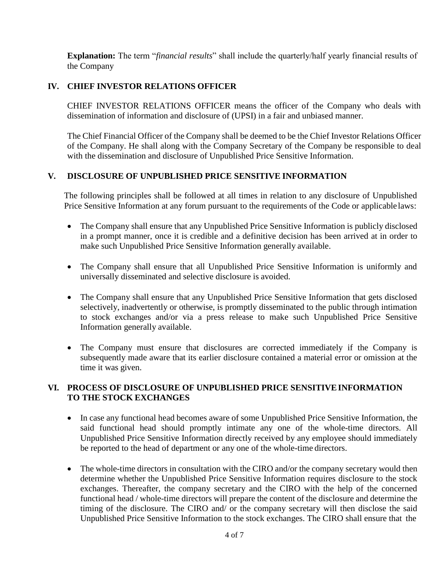**Explanation:** The term "*financial results*" shall include the quarterly/half yearly financial results of the Company

# **IV. CHIEF INVESTOR RELATIONS OFFICER**

CHIEF INVESTOR RELATIONS OFFICER means the officer of the Company who deals with dissemination of information and disclosure of (UPSI) in a fair and unbiased manner.

The Chief Financial Officer of the Company shall be deemed to be the Chief Investor Relations Officer of the Company. He shall along with the Company Secretary of the Company be responsible to deal with the dissemination and disclosure of Unpublished Price Sensitive Information.

# **V. DISCLOSURE OF UNPUBLISHED PRICE SENSITIVE INFORMATION**

The following principles shall be followed at all times in relation to any disclosure of Unpublished Price Sensitive Information at any forum pursuant to the requirements of the Code or applicable laws:

- The Company shall ensure that any Unpublished Price Sensitive Information is publicly disclosed in a prompt manner, once it is credible and a definitive decision has been arrived at in order to make such Unpublished Price Sensitive Information generally available.
- The Company shall ensure that all Unpublished Price Sensitive Information is uniformly and universally disseminated and selective disclosure is avoided.
- The Company shall ensure that any Unpublished Price Sensitive Information that gets disclosed selectively, inadvertently or otherwise, is promptly disseminated to the public through intimation to stock exchanges and/or via a press release to make such Unpublished Price Sensitive Information generally available.
- The Company must ensure that disclosures are corrected immediately if the Company is subsequently made aware that its earlier disclosure contained a material error or omission at the time it was given.

### **VI. PROCESS OF DISCLOSURE OF UNPUBLISHED PRICE SENSITIVEINFORMATION TO THE STOCK EXCHANGES**

- In case any functional head becomes aware of some Unpublished Price Sensitive Information, the said functional head should promptly intimate any one of the whole-time directors. All Unpublished Price Sensitive Information directly received by any employee should immediately be reported to the head of department or any one of the whole-time directors.
- The whole-time directors in consultation with the CIRO and/or the company secretary would then determine whether the Unpublished Price Sensitive Information requires disclosure to the stock exchanges. Thereafter, the company secretary and the CIRO with the help of the concerned functional head / whole-time directors will prepare the content of the disclosure and determine the timing of the disclosure. The CIRO and/ or the company secretary will then disclose the said Unpublished Price Sensitive Information to the stock exchanges. The CIRO shall ensure that the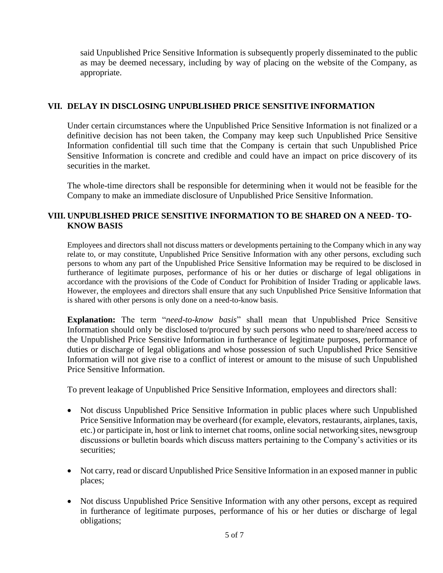said Unpublished Price Sensitive Information is subsequently properly disseminated to the public as may be deemed necessary, including by way of placing on the website of the Company, as appropriate.

# **VII. DELAY IN DISCLOSING UNPUBLISHED PRICE SENSITIVE INFORMATION**

Under certain circumstances where the Unpublished Price Sensitive Information is not finalized or a definitive decision has not been taken, the Company may keep such Unpublished Price Sensitive Information confidential till such time that the Company is certain that such Unpublished Price Sensitive Information is concrete and credible and could have an impact on price discovery of its securities in the market.

The whole-time directors shall be responsible for determining when it would not be feasible for the Company to make an immediate disclosure of Unpublished Price Sensitive Information.

# **VIII. UNPUBLISHED PRICE SENSITIVE INFORMATION TO BE SHARED ON A NEED- TO-KNOW BASIS**

Employees and directors shall not discuss matters or developments pertaining to the Company which in any way relate to, or may constitute, Unpublished Price Sensitive Information with any other persons, excluding such persons to whom any part of the Unpublished Price Sensitive Information may be required to be disclosed in furtherance of legitimate purposes, performance of his or her duties or discharge of legal obligations in accordance with the provisions of the Code of Conduct for Prohibition of Insider Trading or applicable laws. However, the employees and directors shall ensure that any such Unpublished Price Sensitive Information that is shared with other persons is only done on a need-to-know basis.

**Explanation:** The term "*need-to-know basis*" shall mean that Unpublished Price Sensitive Information should only be disclosed to/procured by such persons who need to share/need access to the Unpublished Price Sensitive Information in furtherance of legitimate purposes, performance of duties or discharge of legal obligations and whose possession of such Unpublished Price Sensitive Information will not give rise to a conflict of interest or amount to the misuse of such Unpublished Price Sensitive Information.

To prevent leakage of Unpublished Price Sensitive Information, employees and directors shall:

- Not discuss Unpublished Price Sensitive Information in public places where such Unpublished Price Sensitive Information may be overheard (for example, elevators, restaurants, airplanes, taxis, etc.) or participate in, host or link to internet chat rooms, online social networking sites, newsgroup discussions or bulletin boards which discuss matters pertaining to the Company's activities or its securities;
- Not carry, read or discard Unpublished Price Sensitive Information in an exposed manner in public places;
- Not discuss Unpublished Price Sensitive Information with any other persons, except as required in furtherance of legitimate purposes, performance of his or her duties or discharge of legal obligations;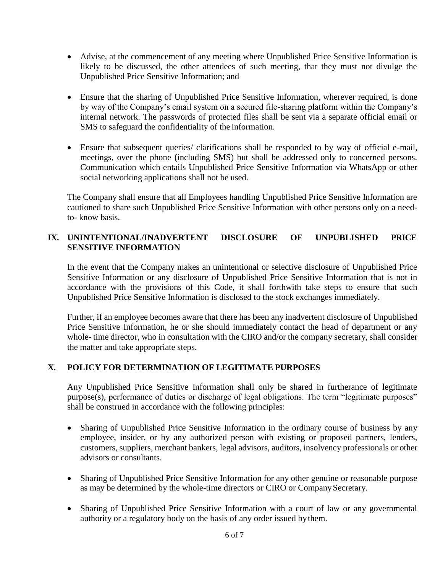- Advise, at the commencement of any meeting where Unpublished Price Sensitive Information is likely to be discussed, the other attendees of such meeting, that they must not divulge the Unpublished Price Sensitive Information; and
- Ensure that the sharing of Unpublished Price Sensitive Information, wherever required, is done by way of the Company's email system on a secured file-sharing platform within the Company's internal network. The passwords of protected files shall be sent via a separate official email or SMS to safeguard the confidentiality of the information.
- Ensure that subsequent queries/ clarifications shall be responded to by way of official e-mail, meetings, over the phone (including SMS) but shall be addressed only to concerned persons. Communication which entails Unpublished Price Sensitive Information via WhatsApp or other social networking applications shall not be used.

The Company shall ensure that all Employees handling Unpublished Price Sensitive Information are cautioned to share such Unpublished Price Sensitive Information with other persons only on a needto- know basis.

# **IX. UNINTENTIONAL/INADVERTENT DISCLOSURE OF UNPUBLISHED PRICE SENSITIVE INFORMATION**

In the event that the Company makes an unintentional or selective disclosure of Unpublished Price Sensitive Information or any disclosure of Unpublished Price Sensitive Information that is not in accordance with the provisions of this Code, it shall forthwith take steps to ensure that such Unpublished Price Sensitive Information is disclosed to the stock exchanges immediately.

Further, if an employee becomes aware that there has been any inadvertent disclosure of Unpublished Price Sensitive Information, he or she should immediately contact the head of department or any whole- time director, who in consultation with the CIRO and/or the company secretary, shall consider the matter and take appropriate steps.

# **X. POLICY FOR DETERMINATION OF LEGITIMATE PURPOSES**

Any Unpublished Price Sensitive Information shall only be shared in furtherance of legitimate purpose(s), performance of duties or discharge of legal obligations. The term "legitimate purposes" shall be construed in accordance with the following principles:

- Sharing of Unpublished Price Sensitive Information in the ordinary course of business by any employee, insider, or by any authorized person with existing or proposed partners, lenders, customers, suppliers, merchant bankers, legal advisors, auditors, insolvency professionals or other advisors or consultants.
- Sharing of Unpublished Price Sensitive Information for any other genuine or reasonable purpose as may be determined by the whole-time directors or CIRO or Company Secretary.
- Sharing of Unpublished Price Sensitive Information with a court of law or any governmental authority or a regulatory body on the basis of any order issued bythem.